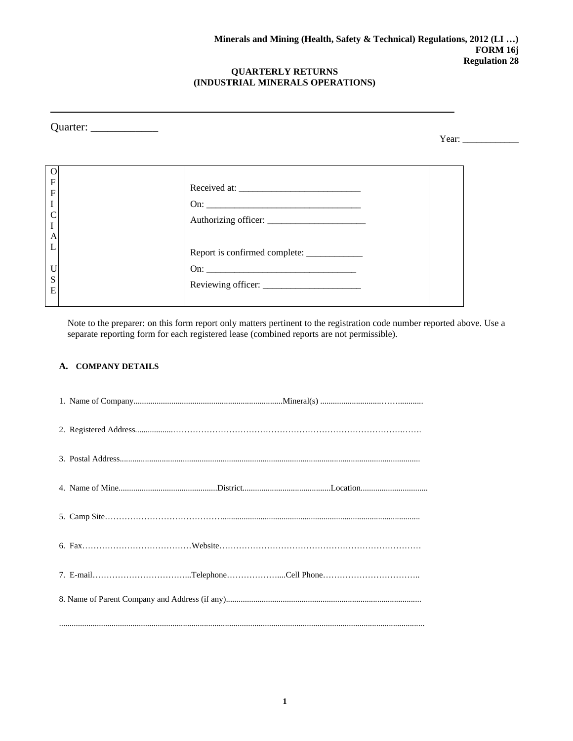| Quarter: $\_\_$                                                                                                        |                                             | Year: $\qquad \qquad$ |
|------------------------------------------------------------------------------------------------------------------------|---------------------------------------------|-----------------------|
| $\Omega$<br>$\rm F$<br>$\rm F$<br>$\rm I$<br>C<br>$\rm I$<br>$\boldsymbol{A}$<br>$\mathbf{L}$<br>$\mathbf U$<br>S<br>E | Report is confirmed complete: _____________ |                       |

Note to the preparer: on this form report only matters pertinent to the registration code number reported above. Use a separate reporting form for each registered lease (combined reports are not permissible).

## **A. COMPANY DETAILS**

|  | 7. E-mailTelephoneCell Phone |
|--|------------------------------|
|  |                              |
|  |                              |
|  |                              |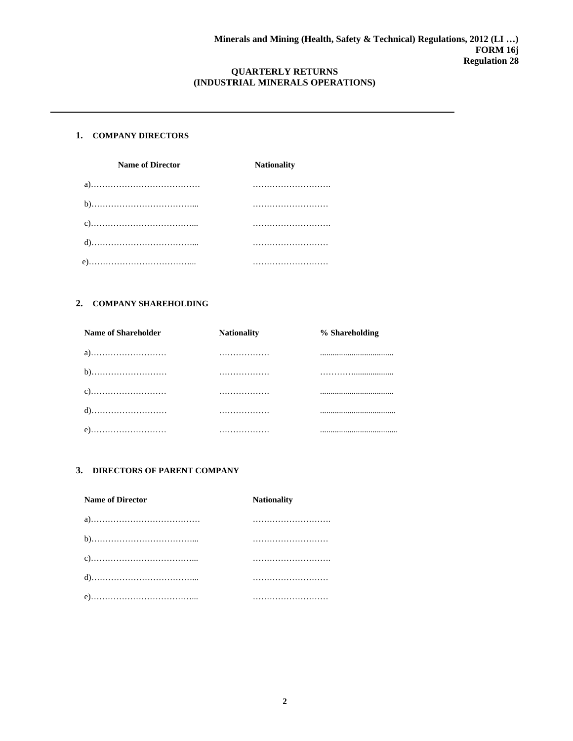### **1. COMPANY DIRECTORS**

| <b>Name of Director</b> | <b>Nationality</b> |
|-------------------------|--------------------|
|                         |                    |
|                         |                    |
|                         |                    |
|                         |                    |
|                         |                    |

## **2. COMPANY SHAREHOLDING**

| Name of Shareholder | <b>Nationality</b> | % Shareholding |
|---------------------|--------------------|----------------|
| a)                  | .                  |                |
| b)                  | .                  |                |
|                     | .                  |                |
|                     | .                  |                |
| e)                  | .                  |                |

## **3. DIRECTORS OF PARENT COMPANY**

| <b>Name of Director</b> | <b>Nationality</b> |
|-------------------------|--------------------|
|                         |                    |
|                         |                    |
|                         |                    |
|                         |                    |
|                         |                    |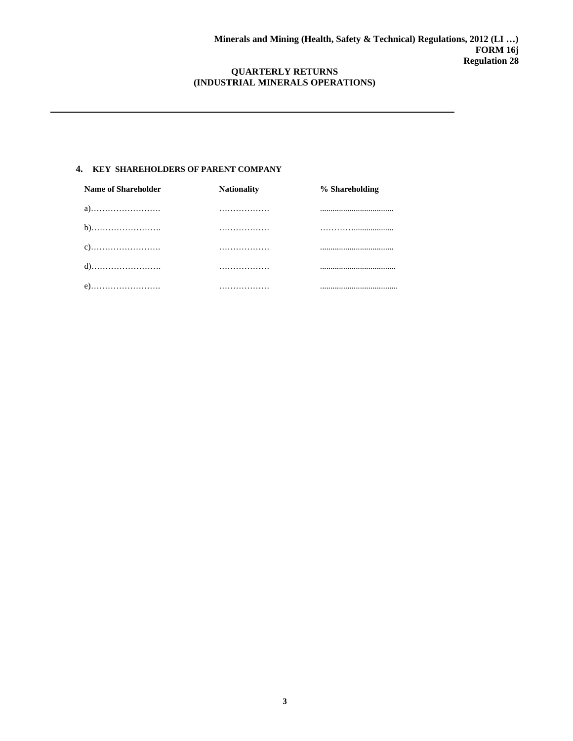## **4. KEY SHAREHOLDERS OF PARENT COMPANY**

| Name of Shareholder | <b>Nationality</b> | % Shareholding |
|---------------------|--------------------|----------------|
| a)                  | .                  |                |
|                     | .                  |                |
|                     | .                  |                |
|                     | .                  |                |
| e)                  | .                  |                |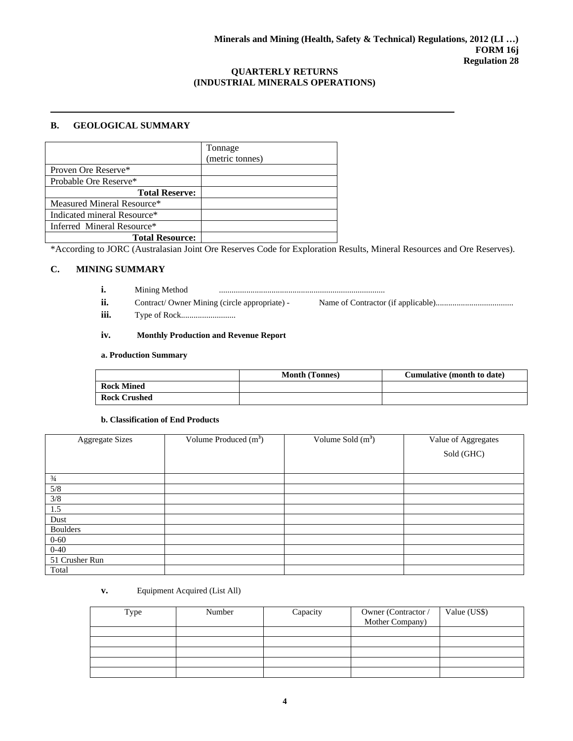#### **B. GEOLOGICAL SUMMARY**

|                             | Tonnage<br>(metric tonnes) |
|-----------------------------|----------------------------|
| Proven Ore Reserve*         |                            |
| Probable Ore Reserve*       |                            |
| <b>Total Reserve:</b>       |                            |
| Measured Mineral Resource*  |                            |
| Indicated mineral Resource* |                            |
| Inferred Mineral Resource*  |                            |
| <b>Total Resource:</b>      |                            |

\*According to JORC (Australasian Joint Ore Reserves Code for Exploration Results, Mineral Resources and Ore Reserves).

## **C. MINING SUMMARY**

- **i.** Mining Method ...............................................................................
- ii. Contract/ Owner Mining (circle appropriate) Name of Contractor (if applicable)...................................
- **iii.** Type of Rock..........................

## **iv. Monthly Production and Revenue Report**

#### **a. Production Summary**

|                   | <b>Month (Tonnes)</b> | Cumulative (month to date) |
|-------------------|-----------------------|----------------------------|
| <b>Rock Mined</b> |                       |                            |
| Rock Crushed      |                       |                            |

#### **b. Classification of End Products**

| <b>Aggregate Sizes</b> | Volume Produced $(m^3)$ | Volume Sold $(m^3)$ | Value of Aggregates |
|------------------------|-------------------------|---------------------|---------------------|
|                        |                         |                     | Sold (GHC)          |
|                        |                         |                     |                     |
| $\frac{3}{4}$          |                         |                     |                     |
| 5/8                    |                         |                     |                     |
| $3/8$                  |                         |                     |                     |
| 1.5                    |                         |                     |                     |
| Dust                   |                         |                     |                     |
| <b>Boulders</b>        |                         |                     |                     |
| $0 - 60$               |                         |                     |                     |
| $0 - 40$               |                         |                     |                     |
| 51 Crusher Run         |                         |                     |                     |
| Total                  |                         |                     |                     |

**v.** Equipment Acquired (List All)

| Type | Number | Capacity | Owner (Contractor /<br>Mother Company) | Value (US\$) |
|------|--------|----------|----------------------------------------|--------------|
|      |        |          |                                        |              |
|      |        |          |                                        |              |
|      |        |          |                                        |              |
|      |        |          |                                        |              |
|      |        |          |                                        |              |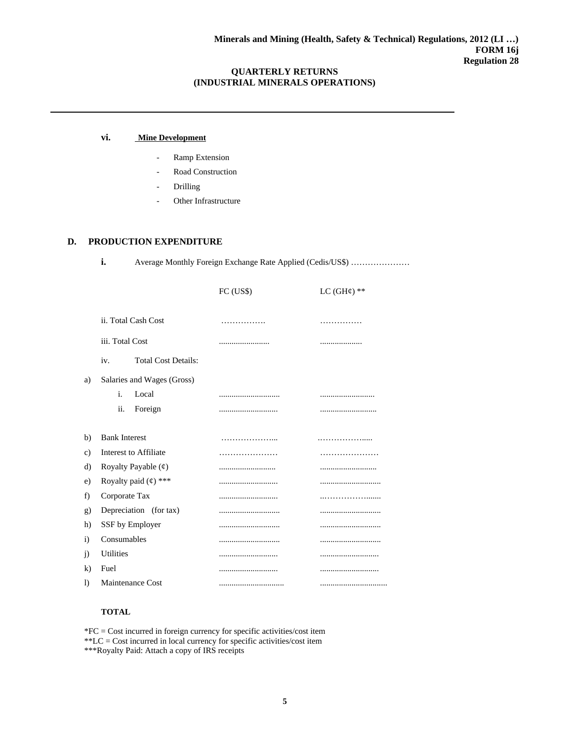#### **vi. Mine Development**

- Ramp Extension
- Road Construction
- **Drilling**
- Other Infrastructure

## **D. PRODUCTION EXPENDITURE**

**i.** Average Monthly Foreign Exchange Rate Applied (Cedis/US\$) .....................

|    |                                                      | FC (US\$) | LC $(GH\n)$ ** |
|----|------------------------------------------------------|-----------|----------------|
|    | ii. Total Cash Cost                                  | .         | .              |
|    | iii. Total Cost                                      |           | .              |
|    | <b>Total Cost Details:</b><br>iv.                    |           |                |
| a) | Salaries and Wages (Gross)                           |           |                |
|    | i.<br>Local                                          |           |                |
|    | ii.<br>Foreign                                       |           |                |
| b) | <b>Bank Interest</b>                                 |           | .              |
| c) | <b>Interest to Affiliate</b>                         | .         |                |
| d) | Royalty Payable $(\text{\ensuremath{\mathfrak{e}}})$ |           |                |
| e) | Royalty paid $(4)$ ***                               |           |                |
| f) | Corporate Tax                                        |           |                |
| g) | Depreciation (for tax)                               |           |                |
| h) | SSF by Employer                                      |           |                |
| i) | Consumables                                          |           |                |
| j) | <b>Utilities</b>                                     |           |                |
| k) | Fuel                                                 |           |                |
| I) | <b>Maintenance Cost</b>                              |           |                |

#### **TOTAL**

\*FC = Cost incurred in foreign currency for specific activities/cost item \*\*LC = Cost incurred in local currency for specific activities/cost item \*\*\*Royalty Paid: Attach a copy of IRS receipts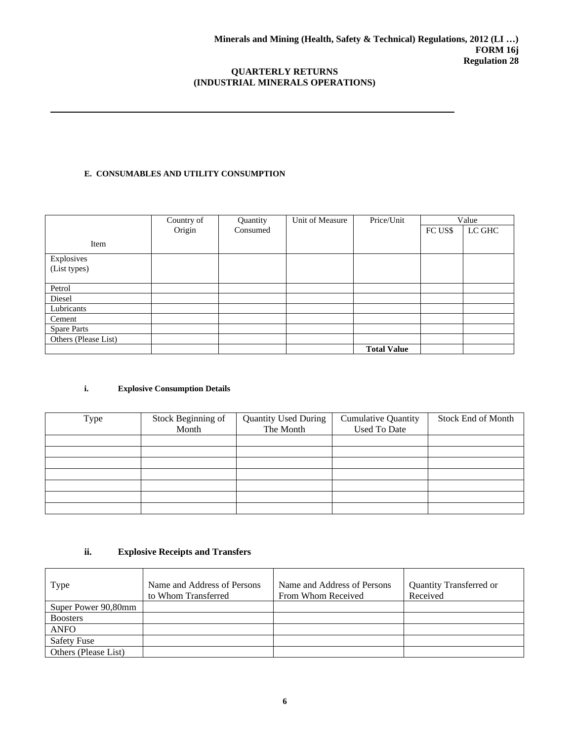## **E. CONSUMABLES AND UTILITY CONSUMPTION**

|                      | Country of | Quantity | Unit of Measure | Price/Unit         |         | Value  |
|----------------------|------------|----------|-----------------|--------------------|---------|--------|
|                      | Origin     | Consumed |                 |                    | FC US\$ | LC GHC |
| Item                 |            |          |                 |                    |         |        |
| Explosives           |            |          |                 |                    |         |        |
| (List types)         |            |          |                 |                    |         |        |
|                      |            |          |                 |                    |         |        |
| Petrol               |            |          |                 |                    |         |        |
| Diesel               |            |          |                 |                    |         |        |
| Lubricants           |            |          |                 |                    |         |        |
| Cement               |            |          |                 |                    |         |        |
| <b>Spare Parts</b>   |            |          |                 |                    |         |        |
| Others (Please List) |            |          |                 |                    |         |        |
|                      |            |          |                 | <b>Total Value</b> |         |        |

## **i. Explosive Consumption Details**

| Type | Stock Beginning of<br>Month | <b>Quantity Used During</b><br>The Month | <b>Cumulative Quantity</b><br><b>Used To Date</b> | <b>Stock End of Month</b> |
|------|-----------------------------|------------------------------------------|---------------------------------------------------|---------------------------|
|      |                             |                                          |                                                   |                           |
|      |                             |                                          |                                                   |                           |
|      |                             |                                          |                                                   |                           |
|      |                             |                                          |                                                   |                           |
|      |                             |                                          |                                                   |                           |
|      |                             |                                          |                                                   |                           |
|      |                             |                                          |                                                   |                           |

## **ii. Explosive Receipts and Transfers**

| <b>Type</b>          | Name and Address of Persons | Name and Address of Persons | Quantity Transferred or |
|----------------------|-----------------------------|-----------------------------|-------------------------|
|                      | to Whom Transferred         | From Whom Received          | Received                |
| Super Power 90,80mm  |                             |                             |                         |
| <b>Boosters</b>      |                             |                             |                         |
| <b>ANFO</b>          |                             |                             |                         |
| <b>Safety Fuse</b>   |                             |                             |                         |
| Others (Please List) |                             |                             |                         |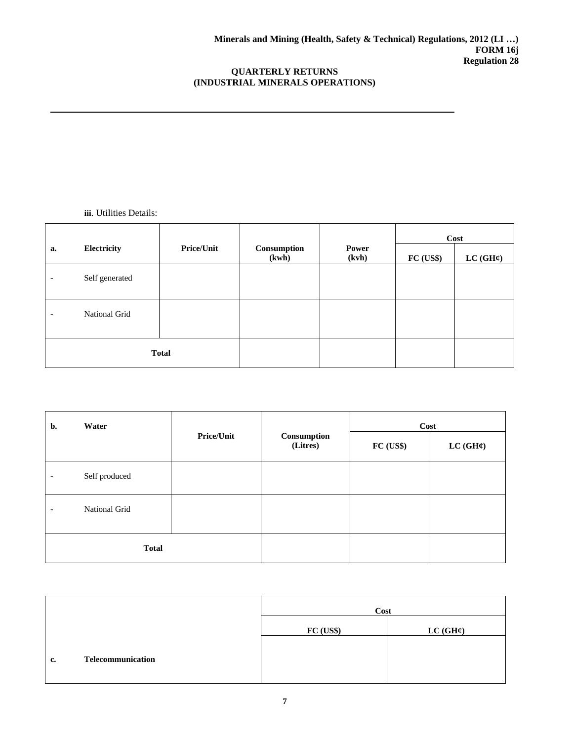**iii**. Utilities Details:

|                          |                |                   |                      |                | Cost     |                      |
|--------------------------|----------------|-------------------|----------------------|----------------|----------|----------------------|
| a.                       | Electricity    | <b>Price/Unit</b> | Consumption<br>(kwh) | Power<br>(kvh) | FC (USS) | LC(GH <sup>c</sup> ) |
| $\overline{\phantom{a}}$ | Self generated |                   |                      |                |          |                      |
| $\overline{\phantom{a}}$ | National Grid  |                   |                      |                |          |                      |
| <b>Total</b>             |                |                   |                      |                |          |                      |

| b.                       | Water         |                   |                         | Cost      |          |  |
|--------------------------|---------------|-------------------|-------------------------|-----------|----------|--|
|                          |               | <b>Price/Unit</b> | Consumption<br>(Litres) | FC (US\$) | LC (GH¢) |  |
| $\overline{\phantom{0}}$ | Self produced |                   |                         |           |          |  |
| $\overline{\phantom{0}}$ | National Grid |                   |                         |           |          |  |
| <b>Total</b>             |               |                   |                         |           |          |  |

|                         | Cost      |                      |  |  |  |  |
|-------------------------|-----------|----------------------|--|--|--|--|
|                         | FC (US\$) | LC(GH <sup>c</sup> ) |  |  |  |  |
| Telecommunication<br>c. |           |                      |  |  |  |  |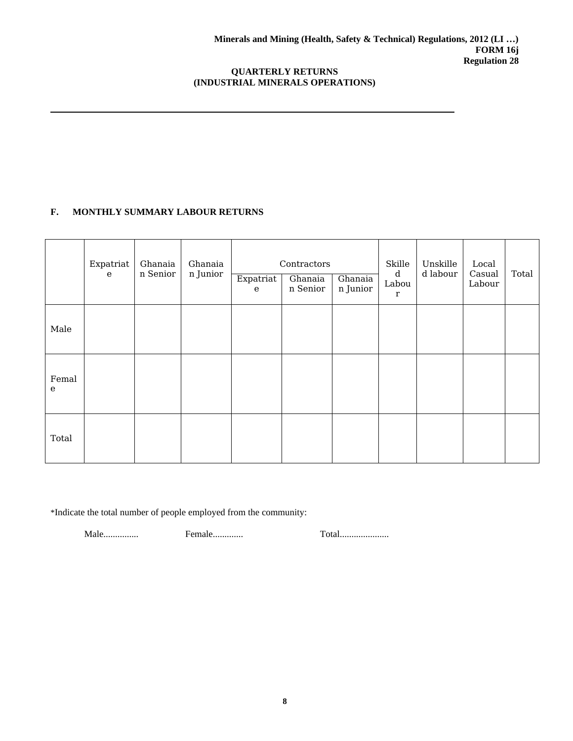# **F. MONTHLY SUMMARY LABOUR RETURNS**

|                    | Expatriat<br>$\mathbf{e}$ | Ghanaia<br>n Senior | Ghanaia<br>n Junior | Expatriat<br>$\mathbf{e}$ | Contractors<br>Ghanaia<br>n Senior | Ghanaia<br>n Junior | Skille<br>$\mathbf d$<br>Labou<br>$\mathbf r$ | Unskille<br>d labour | Local<br>Casual<br>Labour | Total |
|--------------------|---------------------------|---------------------|---------------------|---------------------------|------------------------------------|---------------------|-----------------------------------------------|----------------------|---------------------------|-------|
| Male               |                           |                     |                     |                           |                                    |                     |                                               |                      |                           |       |
| Femal<br>${\bf e}$ |                           |                     |                     |                           |                                    |                     |                                               |                      |                           |       |
| Total              |                           |                     |                     |                           |                                    |                     |                                               |                      |                           |       |

\*Indicate the total number of people employed from the community:

Male............... Female............. Total.....................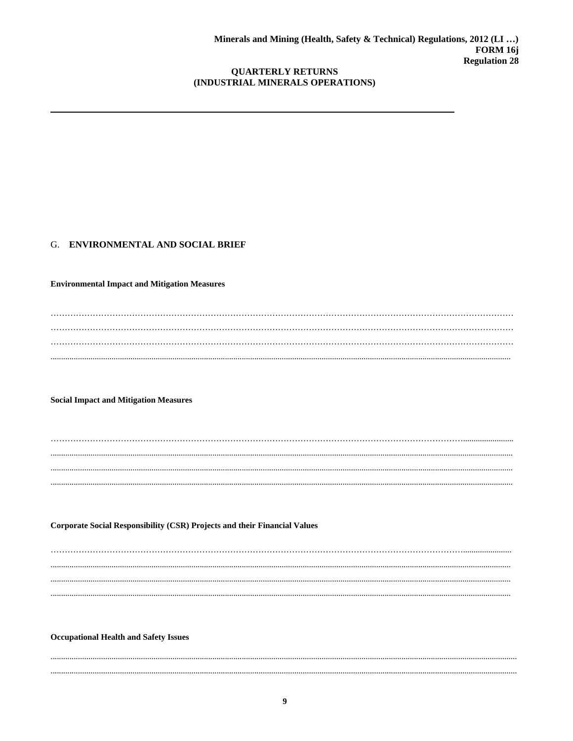## G. ENVIRONMENTAL AND SOCIAL BRIEF

**Environmental Impact and Mitigation Measures** 

**Social Impact and Mitigation Measures** 

**Corporate Social Responsibility (CSR) Projects and their Financial Values** 

**Occupational Health and Safety Issues**